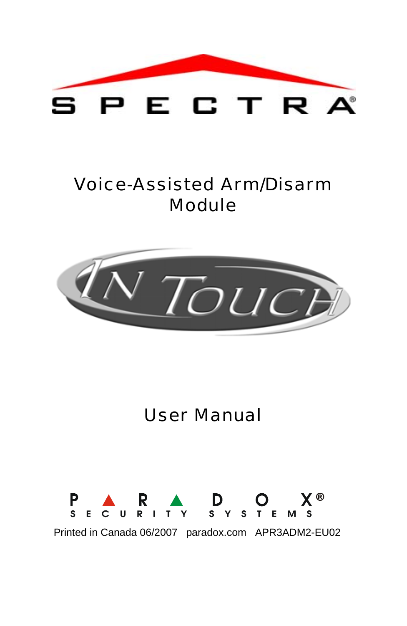

# Voice-Assisted Arm/Disarm Module



# User Manual



Printed in Canada 06/2007 paradox.com APR3ADM2-EU02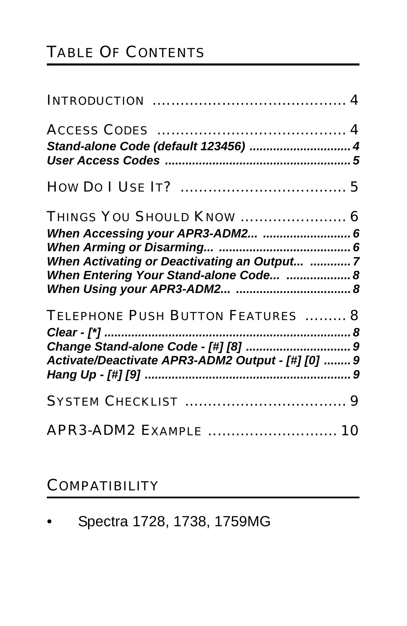# TABLE OF CONTENTS

| Stand-alone Code (default 123456)  4              |  |
|---------------------------------------------------|--|
|                                                   |  |
|                                                   |  |
| THINGS YOU SHOULD KNOW  6                         |  |
| When Accessing your APR3-ADM2  6                  |  |
|                                                   |  |
| When Activating or Deactivating an Output 7       |  |
| When Entering Your Stand-alone Code  8            |  |
|                                                   |  |
| TELEPHONE PUSH BUTTON FEATURES  8                 |  |
|                                                   |  |
|                                                   |  |
| Activate/Deactivate APR3-ADM2 Output - [#] [0]  9 |  |
|                                                   |  |
|                                                   |  |
| APR3-ADM2 EXAMPLE  10                             |  |

#### **COMPATIBILITY**

|  |  |  |  | Spectra 1728, 1738, 1759MG |
|--|--|--|--|----------------------------|
|--|--|--|--|----------------------------|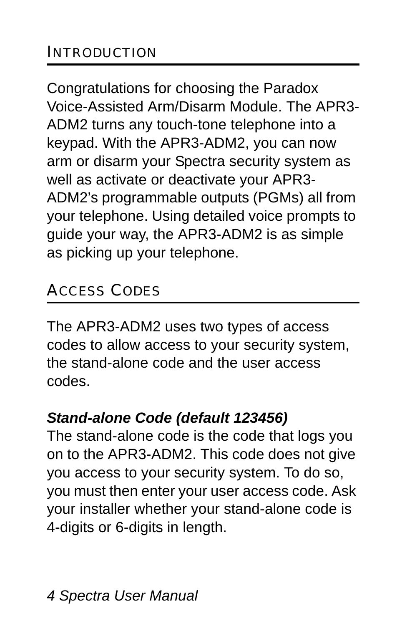Congratulations for choosing the Paradox Voice-Assisted Arm/Disarm Module. The APR3- ADM2 turns any touch-tone telephone into a keypad. With the APR3-ADM2, you can now arm or disarm your Spectra security system as well as activate or deactivate your APR3- ADM2's programmable outputs (PGMs) all from your telephone. Using detailed voice prompts to guide your way, the APR3-ADM2 is as simple as picking up your telephone.

# ACCESS CODES

The APR3-ADM2 uses two types of access codes to allow access to your security system, the stand-alone code and the user access codes.

#### *Stand-alone Code (default 123456)*

The stand-alone code is the code that logs you on to the APR3-ADM2. This code does not give you access to your security system. To do so, you must then enter your user access code. Ask your installer whether your stand-alone code is 4-digits or 6-digits in length.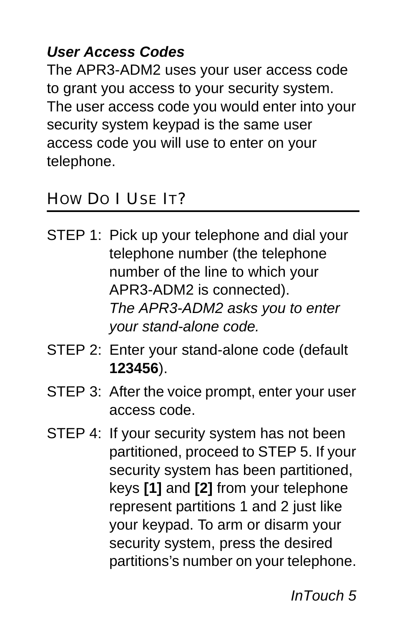### *User Access Codes*

The APR3-ADM2 uses your user access code to grant you access to your security system. The user access code you would enter into your security system keypad is the same user access code you will use to enter on your telephone.

#### HOW DO I USE IT?

- STEP 1: Pick up your telephone and dial your telephone number (the telephone number of the line to which your APR3-ADM2 is connected). *The APR3-ADM2 asks you to enter your stand-alone code.*
- STEP 2: Enter your stand-alone code (default **123456**).
- STEP 3: After the voice prompt, enter your user access code.
- STEP 4: If your security system has not been partitioned, proceed to STEP 5. If your security system has been partitioned, keys **[1]** and **[2]** from your telephone represent partitions 1 and 2 just like your keypad. To arm or disarm your security system, press the desired partitions's number on your telephone.

*InTouch 5*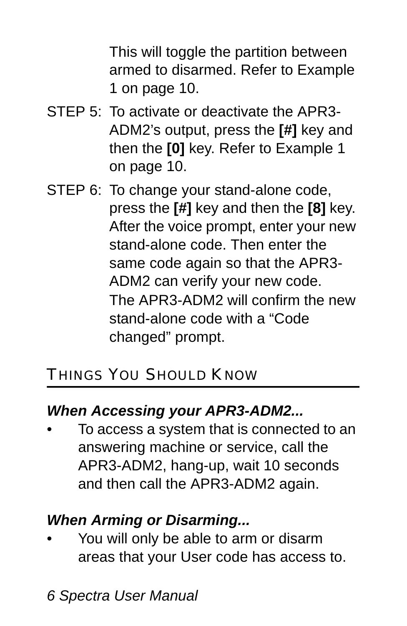This will toggle the partition between armed to disarmed. Refer to Example 1 on [page 10](#page-9-0).

- STEP 5: To activate or deactivate the APR3- ADM2's output, press the **[#]** key and then the **[0]** key. Refer to Example 1 on [page 10](#page-9-0).
- STEP 6: To change your stand-alone code, press the **[#]** key and then the **[8]** key. After the voice prompt, enter your new stand-alone code. Then enter the same code again so that the APR3- ADM2 can verify your new code. The APR3-ADM2 will confirm the new stand-alone code with a "Code changed" prompt.

# THINGS YOU SHOULD KNOW

### *When Accessing your APR3-ADM2...*

• To access a system that is connected to an answering machine or service, call the APR3-ADM2, hang-up, wait 10 seconds and then call the APR3-ADM2 again.

# *When Arming or Disarming...*

• You will only be able to arm or disarm areas that your User code has access to.

*6 Spectra User Manual*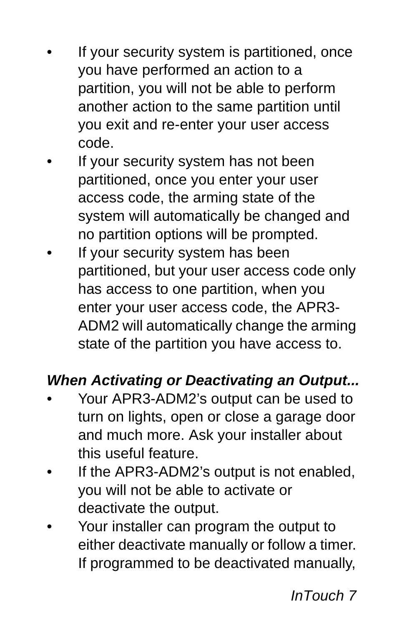- If your security system is partitioned, once you have performed an action to a partition, you will not be able to perform another action to the same partition until you exit and re-enter your user access code.
- If your security system has not been partitioned, once you enter your user access code, the arming state of the system will automatically be changed and no partition options will be prompted.
- If your security system has been partitioned, but your user access code only has access to one partition, when you enter your user access code, the APR3- ADM2 will automatically change the arming state of the partition you have access to.

#### *When Activating or Deactivating an Output...*

- Your APR3-ADM2's output can be used to turn on lights, open or close a garage door and much more. Ask your installer about this useful feature.
- If the APR3-ADM2's output is not enabled, you will not be able to activate or deactivate the output.
- Your installer can program the output to either deactivate manually or follow a timer. If programmed to be deactivated manually,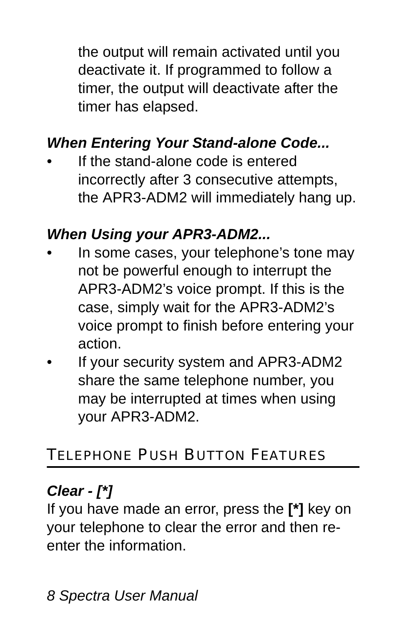the output will remain activated until you deactivate it. If programmed to follow a timer, the output will deactivate after the timer has elapsed.

### *When Entering Your Stand-alone Code...*

If the stand-alone code is entered incorrectly after 3 consecutive attempts, the APR3-ADM2 will immediately hang up.

#### *When Using your APR3-ADM2...*

- In some cases, your telephone's tone may not be powerful enough to interrupt the APR3-ADM2's voice prompt. If this is the case, simply wait for the APR3-ADM2's voice prompt to finish before entering your action.
- If your security system and APR3-ADM2 share the same telephone number, you may be interrupted at times when using your APR3-ADM2.

### TELEPHONE PUSH BUTTON FEATURES

#### *Clear - [\*]*

If you have made an error, press the **[\*]** key on your telephone to clear the error and then reenter the information.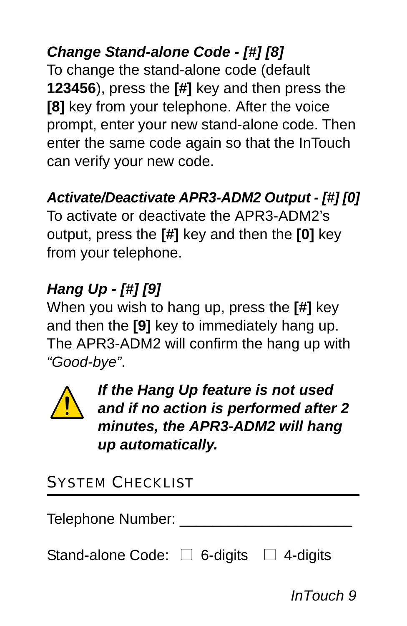*Change Stand-alone Code - [#] [8]* To change the stand-alone code (default **123456**), press the **[#]** key and then press the **[8]** key from your telephone. After the voice prompt, enter your new stand-alone code. Then enter the same code again so that the InTouch can verify your new code.

# *Activate/Deactivate APR3-ADM2 Output - [#] [0]*

To activate or deactivate the APR3-ADM2's output, press the **[#]** key and then the **[0]** key from your telephone.

# *Hang Up - [#] [9]*

When you wish to hang up, press the **[#]** key and then the **[9]** key to immediately hang up. The APR3-ADM2 will confirm the hang up with *"Good-bye"*.



*If the Hang Up feature is not used and if no action is performed after 2 minutes, the APR3-ADM2 will hang up automatically.*

# SYSTEM CHECKLIST

Telephone Number:

Stand-alone Code:  $\Box$  6-digits  $\Box$  4-digits

*InTouch 9*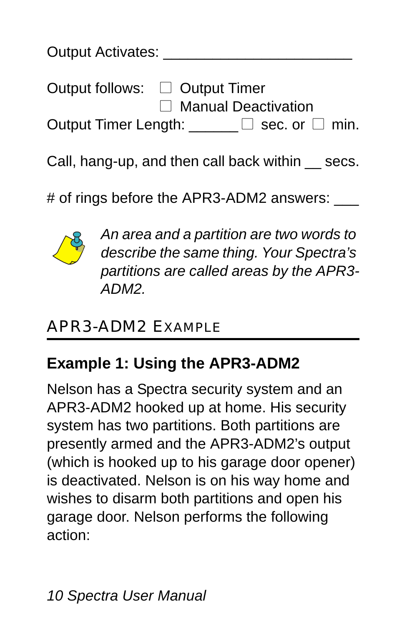| Output Activates: |                                                         |  |  |  |
|-------------------|---------------------------------------------------------|--|--|--|
|                   | Output follows: □ Output Timer<br>□ Manual Deactivation |  |  |  |
|                   | Output Timer Length: $\square$ sec. or $\square$ min.   |  |  |  |

Call, hang-up, and then call back within \_\_ secs.

# of rings before the APR3-ADM2 answers:



*An area and a partition are two words to describe the same thing. Your Spectra's partitions are called areas by the APR3- ADM2.*

# APR3-ADM2 EXAMPLE

# <span id="page-9-0"></span>**Example 1: Using the APR3-ADM2**

Nelson has a Spectra security system and an APR3-ADM2 hooked up at home. His security system has two partitions. Both partitions are presently armed and the APR3-ADM2's output (which is hooked up to his garage door opener) is deactivated. Nelson is on his way home and wishes to disarm both partitions and open his garage door. Nelson performs the following action: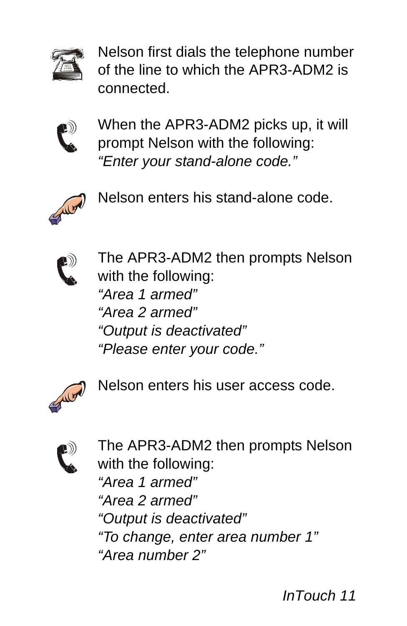

Nelson first dials the telephone number of the line to which the APR3-ADM2 is connected.



When the APR3-ADM2 picks up, it will prompt Nelson with the following: *"Enter your stand-alone code."*



Nelson enters his stand-alone code.



The APR3-ADM2 then prompts Nelson with the following: *"Area 1 armed" "Area 2 armed" "Output is deactivated" "Please enter your code."*



Nelson enters his user access code.



The APR3-ADM2 then prompts Nelson with the following: *"Area 1 armed" "Area 2 armed" "Output is deactivated" "To change, enter area number 1" "Area number 2"*

*InTouch 11*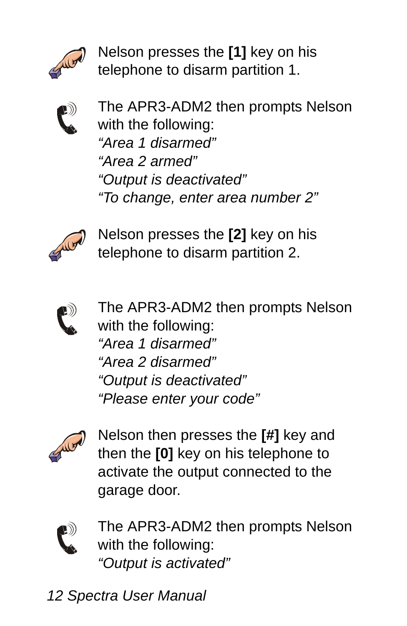

Nelson presses the **[1]** key on his telephone to disarm partition 1.



The APR3-ADM2 then prompts Nelson with the following: *"Area 1 disarmed" "Area 2 armed" "Output is deactivated" "To change, enter area number 2"*



Nelson presses the **[2]** key on his telephone to disarm partition 2.



The APR3-ADM2 then prompts Nelson with the following: *"Area 1 disarmed" "Area 2 disarmed" "Output is deactivated" "Please enter your code"*



Nelson then presses the **[#]** key and then the **[0]** key on his telephone to activate the output connected to the garage door.



The APR3-ADM2 then prompts Nelson with the following: *"Output is activated"*

*12 Spectra User Manual*